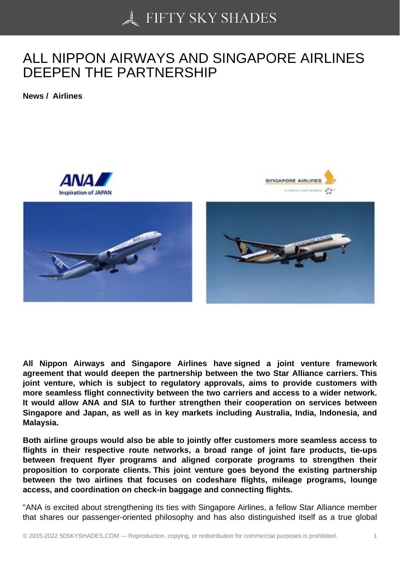## [ALL NIPPON AIRWAY](https://50skyshades.com)S AND SINGAPORE AIRLINES DEEPEN THE PARTNERSHIP

News / Airlines

All Nippon Airways and Singapore Airlines have signed a joint venture framework agreement that would deepen the partnership between the two Star Alliance carriers. This joint venture, which is subject to regulatory approvals, aims to provide customers with more seamless flight connectivity between the two carriers and access to a wider network. It would allow ANA and SIA to further strengthen their cooperation on services between Singapore and Japan, as well as in key markets including Australia, India, Indonesia, and Malaysia.

Both airline groups would also be able to jointly offer customers more seamless access to flights in their respective route networks, a broad range of joint fare products, tie-ups between frequent flyer programs and aligned corporate programs to strengthen their proposition to corporate clients. This joint venture goes beyond the existing partnership between the two airlines that focuses on codeshare flights, mileage programs, lounge access, and coordination on check-in baggage and connecting flights.

"ANA is excited about strengthening its ties with Singapore Airlines, a fellow Star Alliance member that shares our passenger-oriented philosophy and has also distinguished itself as a true global